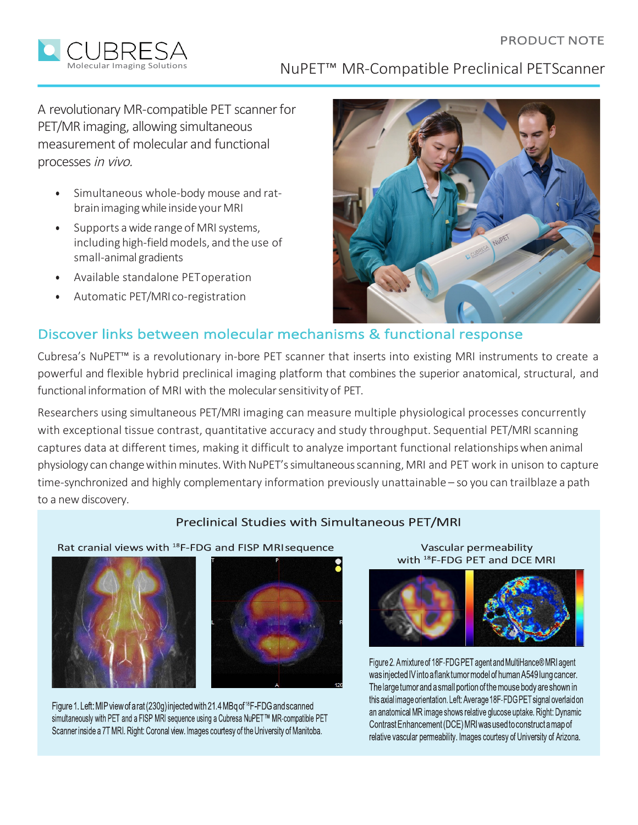#### PRODUCT NOTE



NuPET™ MR-Compatible Preclinical PETScanner

A revolutionary MR-compatible PET scannerfor PET/MR imaging, allowing simultaneous measurement of molecular and functional processes in vivo.

- Simultaneous whole-body mouse and ratbrain imaging while inside your MRI
- Supports a wide rangeof MRIsystems, including high-fieldmodels, and the use of small-animal gradients
- Available standalone PEToperation
- Automatic PET/MRI co-registration



# Discover links between molecular mechanisms & functional response

Cubresa's NuPET™ is a revolutionary in-bore PET scanner that inserts into existing MRI instruments to create a powerful and flexible hybrid preclinical imaging platform that combines the superior anatomical, structural, and functional information of MRI with the molecularsensitivity of PET.

Researchers using simultaneous PET/MRI imaging can measure multiple physiological processes concurrently with exceptional tissue contrast, quantitative accuracy and study throughput. Sequential PET/MRI scanning captures data at different times, making it difficult to analyze important functional relationshipswhen animal physiology can change within minutes. With NuPET's simultaneous scanning, MRI and PET work in unison to capture time-synchronized and highly complementary information previously unattainable – so you can trailblaze a path to a new discovery.

#### Preclinical Studies with Simultaneous PET/MRI

Rat cranial views with <sup>18</sup>F-FDG and FISP MRIsequence





Figure 1. Left: MIP view of a rat (230g) injected with 21.4 MBg of <sup>18</sup>F-FDG and scanned simultaneously with PET and a FISP MRI sequence using a Cubresa NuPET™ MR-compatible PET Scanner inside a 7T MRI. Right: Coronal view. Images courtesy of the University of Manitoba.

Vascular permeability with <sup>18</sup>F-FDG PET and DCE MRI



Figure 2. A mixture of 18F-FDG PET agent and MultiHance® MRI agent was injected IV into a flank tumor model of human A549 lung cancer. The large tumor and a small portion of the mouse body are shown in this axial image orientation. Left: Average 18F-FDG PET signal overlaid on an anatomical MR image shows relative glucose uptake. Right: Dynamic Contrast Enhancement (DCE) MRI was used to construct a map of relative vascular permeability. Images courtesy of University of Arizona.